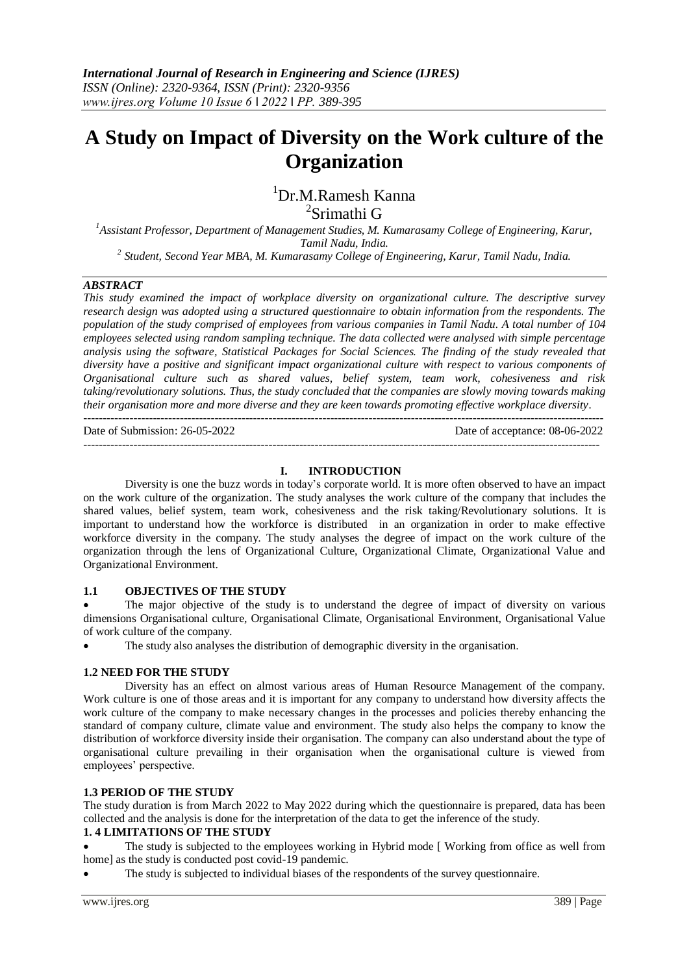# **A Study on Impact of Diversity on the Work culture of the Organization**

<sup>1</sup>Dr.M.Ramesh Kanna

2 Srimathi G

*<sup>1</sup>Assistant Professor, Department of Management Studies, M. Kumarasamy College of Engineering, Karur, Tamil Nadu, India. 2 Student, Second Year MBA, M. Kumarasamy College of Engineering, Karur, Tamil Nadu, India.*

# *ABSTRACT*

*This study examined the impact of workplace diversity on organizational culture. The descriptive survey research design was adopted using a structured questionnaire to obtain information from the respondents. The population of the study comprised of employees from various companies in Tamil Nadu. A total number of 104 employees selected using random sampling technique. The data collected were analysed with simple percentage analysis using the software, Statistical Packages for Social Sciences. The finding of the study revealed that diversity have a positive and significant impact organizational culture with respect to various components of Organisational culture such as shared values, belief system, team work, cohesiveness and risk taking/revolutionary solutions. Thus, the study concluded that the companies are slowly moving towards making their organisation more and more diverse and they are keen towards promoting effective workplace diversity.* ---------------------------------------------------------------------------------------------------------------------------------------

Date of Submission: 26-05-2022 Date of acceptance: 08-06-2022

# **I. INTRODUCTION**

--------------------------------------------------------------------------------------------------------------------------------------

Diversity is one the buzz words in today's corporate world. It is more often observed to have an impact on the work culture of the organization. The study analyses the work culture of the company that includes the shared values, belief system, team work, cohesiveness and the risk taking/Revolutionary solutions. It is important to understand how the workforce is distributed in an organization in order to make effective workforce diversity in the company. The study analyses the degree of impact on the work culture of the organization through the lens of Organizational Culture, Organizational Climate, Organizational Value and Organizational Environment.

# **1.1 OBJECTIVES OF THE STUDY**

 The major objective of the study is to understand the degree of impact of diversity on various dimensions Organisational culture, Organisational Climate, Organisational Environment, Organisational Value of work culture of the company.

The study also analyses the distribution of demographic diversity in the organisation.

# **1.2 NEED FOR THE STUDY**

Diversity has an effect on almost various areas of Human Resource Management of the company. Work culture is one of those areas and it is important for any company to understand how diversity affects the work culture of the company to make necessary changes in the processes and policies thereby enhancing the standard of company culture, climate value and environment. The study also helps the company to know the distribution of workforce diversity inside their organisation. The company can also understand about the type of organisational culture prevailing in their organisation when the organisational culture is viewed from employees' perspective.

# **1.3 PERIOD OF THE STUDY**

The study duration is from March 2022 to May 2022 during which the questionnaire is prepared, data has been collected and the analysis is done for the interpretation of the data to get the inference of the study.

# **1. 4 LIMITATIONS OF THE STUDY**

 The study is subjected to the employees working in Hybrid mode [ Working from office as well from home] as the study is conducted post covid-19 pandemic.

The study is subjected to individual biases of the respondents of the survey questionnaire.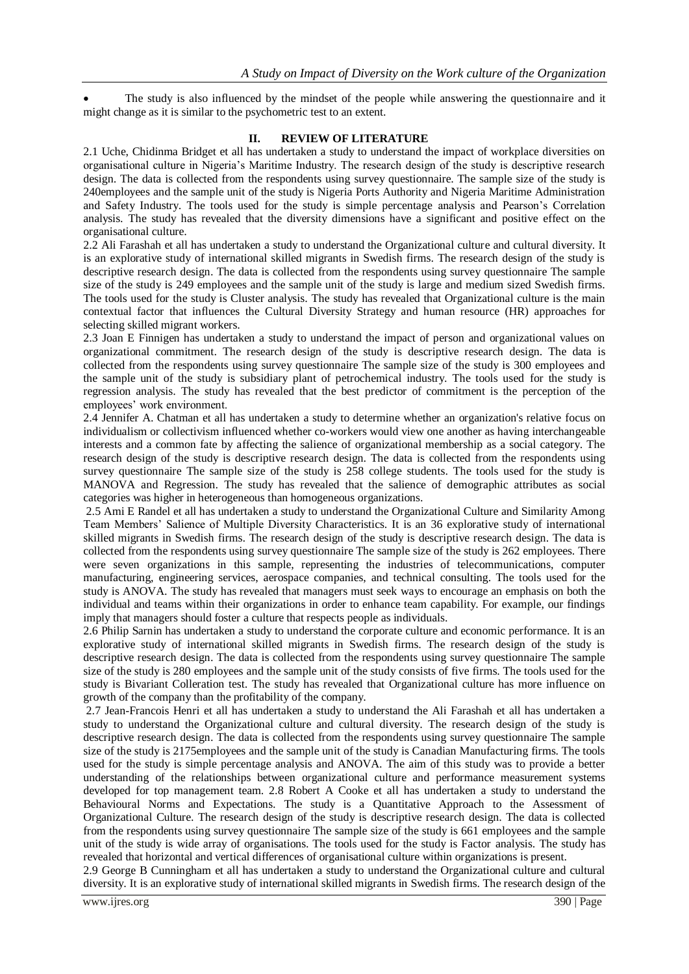The study is also influenced by the mindset of the people while answering the questionnaire and it might change as it is similar to the psychometric test to an extent.

## **II. REVIEW OF LITERATURE**

2.1 Uche, Chidinma Bridget et all has undertaken a study to understand the impact of workplace diversities on organisational culture in Nigeria's Maritime Industry. The research design of the study is descriptive research design. The data is collected from the respondents using survey questionnaire. The sample size of the study is 240employees and the sample unit of the study is Nigeria Ports Authority and Nigeria Maritime Administration and Safety Industry. The tools used for the study is simple percentage analysis and Pearson's Correlation analysis. The study has revealed that the diversity dimensions have a significant and positive effect on the organisational culture.

2.2 Ali Farashah et all has undertaken a study to understand the Organizational culture and cultural diversity. It is an explorative study of international skilled migrants in Swedish firms. The research design of the study is descriptive research design. The data is collected from the respondents using survey questionnaire The sample size of the study is 249 employees and the sample unit of the study is large and medium sized Swedish firms. The tools used for the study is Cluster analysis. The study has revealed that Organizational culture is the main contextual factor that influences the Cultural Diversity Strategy and human resource (HR) approaches for selecting skilled migrant workers.

2.3 Joan E Finnigen has undertaken a study to understand the impact of person and organizational values on organizational commitment. The research design of the study is descriptive research design. The data is collected from the respondents using survey questionnaire The sample size of the study is 300 employees and the sample unit of the study is subsidiary plant of petrochemical industry. The tools used for the study is regression analysis. The study has revealed that the best predictor of commitment is the perception of the employees' work environment.

2.4 Jennifer A. Chatman et all has undertaken a study to determine whether an organization's relative focus on individualism or collectivism influenced whether co-workers would view one another as having interchangeable interests and a common fate by affecting the salience of organizational membership as a social category. The research design of the study is descriptive research design. The data is collected from the respondents using survey questionnaire The sample size of the study is 258 college students. The tools used for the study is MANOVA and Regression. The study has revealed that the salience of demographic attributes as social categories was higher in heterogeneous than homogeneous organizations.

2.5 Ami E Randel et all has undertaken a study to understand the Organizational Culture and Similarity Among Team Members' Salience of Multiple Diversity Characteristics. It is an 36 explorative study of international skilled migrants in Swedish firms. The research design of the study is descriptive research design. The data is collected from the respondents using survey questionnaire The sample size of the study is 262 employees. There were seven organizations in this sample, representing the industries of telecommunications, computer manufacturing, engineering services, aerospace companies, and technical consulting. The tools used for the study is ANOVA. The study has revealed that managers must seek ways to encourage an emphasis on both the individual and teams within their organizations in order to enhance team capability. For example, our findings imply that managers should foster a culture that respects people as individuals.

2.6 Philip Sarnin has undertaken a study to understand the corporate culture and economic performance. It is an explorative study of international skilled migrants in Swedish firms. The research design of the study is descriptive research design. The data is collected from the respondents using survey questionnaire The sample size of the study is 280 employees and the sample unit of the study consists of five firms. The tools used for the study is Bivariant Colleration test. The study has revealed that Organizational culture has more influence on growth of the company than the profitability of the company.

2.7 Jean-Francois Henri et all has undertaken a study to understand the Ali Farashah et all has undertaken a study to understand the Organizational culture and cultural diversity. The research design of the study is descriptive research design. The data is collected from the respondents using survey questionnaire The sample size of the study is 2175employees and the sample unit of the study is Canadian Manufacturing firms. The tools used for the study is simple percentage analysis and ANOVA. The aim of this study was to provide a better understanding of the relationships between organizational culture and performance measurement systems developed for top management team. 2.8 Robert A Cooke et all has undertaken a study to understand the Behavioural Norms and Expectations. The study is a Quantitative Approach to the Assessment of Organizational Culture. The research design of the study is descriptive research design. The data is collected from the respondents using survey questionnaire The sample size of the study is 661 employees and the sample unit of the study is wide array of organisations. The tools used for the study is Factor analysis. The study has revealed that horizontal and vertical differences of organisational culture within organizations is present.

2.9 George B Cunningham et all has undertaken a study to understand the Organizational culture and cultural diversity. It is an explorative study of international skilled migrants in Swedish firms. The research design of the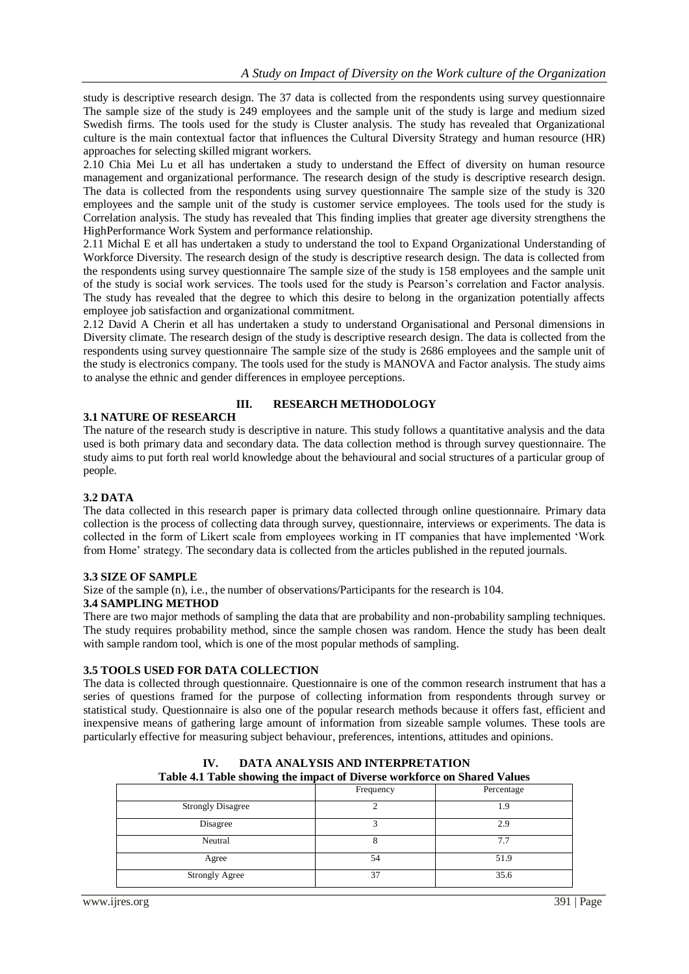study is descriptive research design. The 37 data is collected from the respondents using survey questionnaire The sample size of the study is 249 employees and the sample unit of the study is large and medium sized Swedish firms. The tools used for the study is Cluster analysis. The study has revealed that Organizational culture is the main contextual factor that influences the Cultural Diversity Strategy and human resource (HR) approaches for selecting skilled migrant workers.

2.10 Chia Mei Lu et all has undertaken a study to understand the Effect of diversity on human resource management and organizational performance. The research design of the study is descriptive research design. The data is collected from the respondents using survey questionnaire The sample size of the study is 320 employees and the sample unit of the study is customer service employees. The tools used for the study is Correlation analysis. The study has revealed that This finding implies that greater age diversity strengthens the HighPerformance Work System and performance relationship.

2.11 Michal E et all has undertaken a study to understand the tool to Expand Organizational Understanding of Workforce Diversity. The research design of the study is descriptive research design. The data is collected from the respondents using survey questionnaire The sample size of the study is 158 employees and the sample unit of the study is social work services. The tools used for the study is Pearson's correlation and Factor analysis. The study has revealed that the degree to which this desire to belong in the organization potentially affects employee job satisfaction and organizational commitment.

2.12 David A Cherin et all has undertaken a study to understand Organisational and Personal dimensions in Diversity climate. The research design of the study is descriptive research design. The data is collected from the respondents using survey questionnaire The sample size of the study is 2686 employees and the sample unit of the study is electronics company. The tools used for the study is MANOVA and Factor analysis. The study aims to analyse the ethnic and gender differences in employee perceptions.

# **3.1 NATURE OF RESEARCH**

# **III. RESEARCH METHODOLOGY**

The nature of the research study is descriptive in nature. This study follows a quantitative analysis and the data used is both primary data and secondary data. The data collection method is through survey questionnaire. The study aims to put forth real world knowledge about the behavioural and social structures of a particular group of people.

# **3.2 DATA**

The data collected in this research paper is primary data collected through online questionnaire. Primary data collection is the process of collecting data through survey, questionnaire, interviews or experiments. The data is collected in the form of Likert scale from employees working in IT companies that have implemented 'Work from Home' strategy. The secondary data is collected from the articles published in the reputed journals.

# **3.3 SIZE OF SAMPLE**

Size of the sample (n), i.e., the number of observations/Participants for the research is 104.

#### **3.4 SAMPLING METHOD**

There are two major methods of sampling the data that are probability and non-probability sampling techniques. The study requires probability method, since the sample chosen was random. Hence the study has been dealt with sample random tool, which is one of the most popular methods of sampling.

# **3.5 TOOLS USED FOR DATA COLLECTION**

The data is collected through questionnaire. Questionnaire is one of the common research instrument that has a series of questions framed for the purpose of collecting information from respondents through survey or statistical study. Questionnaire is also one of the popular research methods because it offers fast, efficient and inexpensive means of gathering large amount of information from sizeable sample volumes. These tools are particularly effective for measuring subject behaviour, preferences, intentions, attitudes and opinions.

| Table 4.1 Table showing the impact of Diverse workforce on shared values |           |            |  |  |
|--------------------------------------------------------------------------|-----------|------------|--|--|
|                                                                          | Frequency | Percentage |  |  |
| <b>Strongly Disagree</b>                                                 |           | 9،         |  |  |
| Disagree                                                                 |           | 2.9        |  |  |
| Neutral                                                                  |           | 7.7        |  |  |
| Agree                                                                    | 54        | 51.9       |  |  |
| <b>Strongly Agree</b>                                                    | 37        | 35.6       |  |  |

**IV. DATA ANALYSIS AND INTERPRETATION Table 4.1 Table showing the impact of Diverse workforce on Shared Values**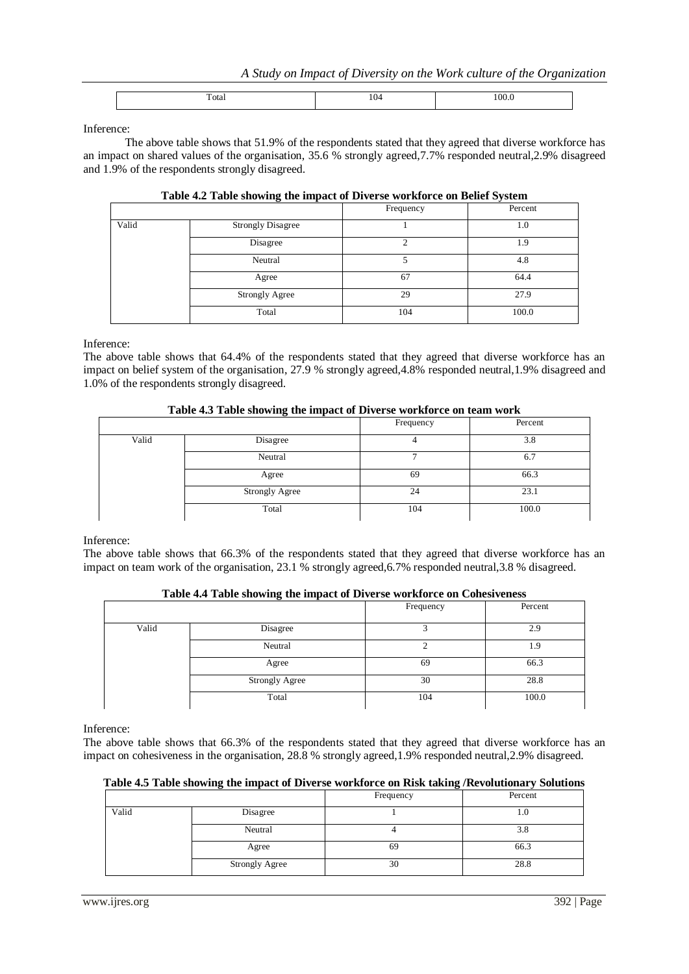| . |  |  |
|---|--|--|
|---|--|--|

Inference:

The above table shows that 51.9% of the respondents stated that they agreed that diverse workforce has an impact on shared values of the organisation, 35.6 % strongly agreed,7.7% responded neutral,2.9% disagreed and 1.9% of the respondents strongly disagreed.

|       | Table 4.2 Table showing the impact of Diverse workforce on Belief System |           |         |
|-------|--------------------------------------------------------------------------|-----------|---------|
|       |                                                                          | Frequency | Percent |
| Valid | <b>Strongly Disagree</b>                                                 |           | 1.0     |
|       | Disagree                                                                 |           | 1.9     |
|       | Neutral                                                                  |           | 4.8     |
|       | Agree                                                                    | 67        | 64.4    |
|       | <b>Strongly Agree</b>                                                    | 29        | 27.9    |
|       | Total                                                                    | 104       | 100.0   |

### **Table 4.2 Table showing the impact of Diverse workforce on Belief System**

Inference:

The above table shows that 64.4% of the respondents stated that they agreed that diverse workforce has an impact on belief system of the organisation, 27.9 % strongly agreed,4.8% responded neutral,1.9% disagreed and 1.0% of the respondents strongly disagreed.

# **Table 4.3 Table showing the impact of Diverse workforce on team work**

|       | $\sim$         | Frequency | Percent |
|-------|----------------|-----------|---------|
| Valid | Disagree       |           | 3.8     |
|       | Neutral        |           | 6.7     |
|       | Agree          | 69        | 66.3    |
|       | Strongly Agree | 24        | 23.1    |
|       | Total          | 104       | 100.0   |

Inference:

The above table shows that 66.3% of the respondents stated that they agreed that diverse workforce has an impact on team work of the organisation, 23.1 % strongly agreed,6.7% responded neutral,3.8 % disagreed.

|       | $\sim$<br>.    |           |         |
|-------|----------------|-----------|---------|
|       |                | Frequency | Percent |
| Valid | Disagree       |           | 2.9     |
|       | Neutral        |           | 1.9     |
|       | Agree          | 69        | 66.3    |
|       | Strongly Agree | 30        | 28.8    |
|       | Total          | 104       | 100.0   |

Inference:

The above table shows that 66.3% of the respondents stated that they agreed that diverse workforce has an impact on cohesiveness in the organisation, 28.8 % strongly agreed,1.9% responded neutral,2.9% disagreed.

# **Table 4.5 Table showing the impact of Diverse workforce on Risk taking /Revolutionary Solutions**

|       |                       | Frequency | Percent |
|-------|-----------------------|-----------|---------|
| Valid | Disagree              |           | 1.U     |
|       | Neutral               |           | 3.8     |
|       | Agree                 | 69        | 66.3    |
|       | <b>Strongly Agree</b> | 30        | 28.8    |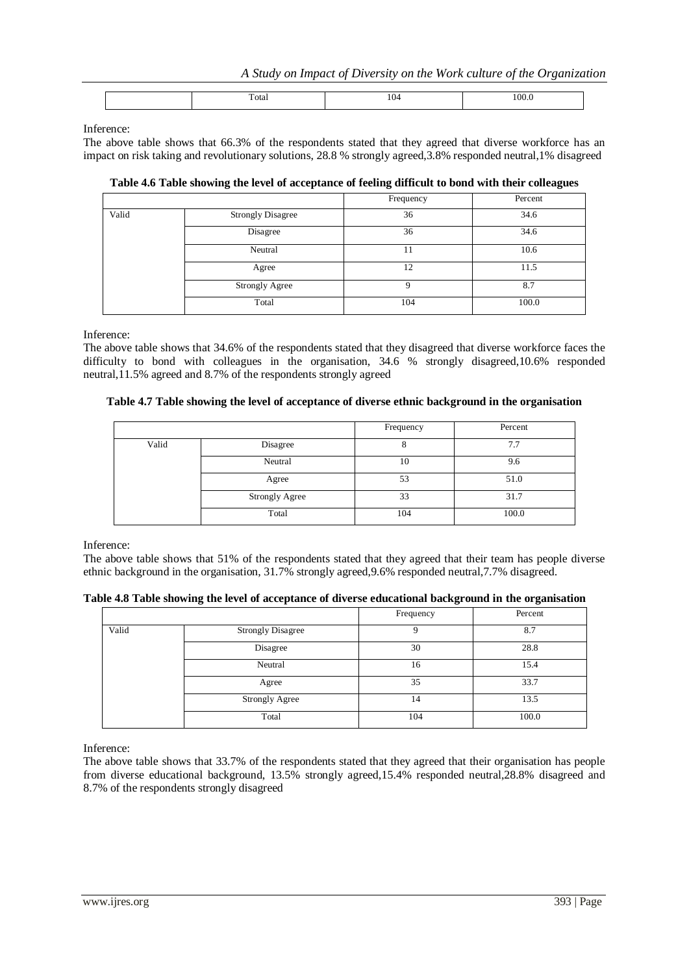| --<br>`otar<br>$   -$ | __ |  |
|-----------------------|----|--|
|-----------------------|----|--|

Inference:

The above table shows that 66.3% of the respondents stated that they agreed that diverse workforce has an impact on risk taking and revolutionary solutions, 28.8 % strongly agreed,3.8% responded neutral,1% disagreed

|       |                          | Frequency | Percent |
|-------|--------------------------|-----------|---------|
| Valid | <b>Strongly Disagree</b> | 36        | 34.6    |
|       | Disagree                 | 36        | 34.6    |
|       | Neutral                  | 11        | 10.6    |
|       | Agree                    | 12        | 11.5    |
|       | Strongly Agree           | Q         | 8.7     |
|       | Total                    | 104       | 100.0   |

**Table 4.6 Table showing the level of acceptance of feeling difficult to bond with their colleagues**

Inference:

The above table shows that 34.6% of the respondents stated that they disagreed that diverse workforce faces the difficulty to bond with colleagues in the organisation, 34.6 % strongly disagreed,10.6% responded neutral,11.5% agreed and 8.7% of the respondents strongly agreed

# **Table 4.7 Table showing the level of acceptance of diverse ethnic background in the organisation**

|       |                | Frequency | Percent |
|-------|----------------|-----------|---------|
| Valid | Disagree       | о         | 7.7     |
|       | Neutral        | 10        | 9.6     |
|       | Agree          | 53        | 51.0    |
|       | Strongly Agree | 33        | 31.7    |
|       | Total          | 104       | 100.0   |

Inference:

The above table shows that 51% of the respondents stated that they agreed that their team has people diverse ethnic background in the organisation, 31.7% strongly agreed,9.6% responded neutral,7.7% disagreed.

|  |  | Table 4.8 Table showing the level of acceptance of diverse educational background in the organisation |  |
|--|--|-------------------------------------------------------------------------------------------------------|--|
|  |  |                                                                                                       |  |

|       |                          | Frequency | Percent |
|-------|--------------------------|-----------|---------|
| Valid | <b>Strongly Disagree</b> |           | 8.7     |
|       | Disagree                 | 30        | 28.8    |
|       | Neutral                  | 16        | 15.4    |
|       | Agree                    | 35        | 33.7    |
|       | <b>Strongly Agree</b>    | 14        | 13.5    |
|       | Total                    | 104       | 100.0   |

Inference:

The above table shows that 33.7% of the respondents stated that they agreed that their organisation has people from diverse educational background, 13.5% strongly agreed,15.4% responded neutral,28.8% disagreed and 8.7% of the respondents strongly disagreed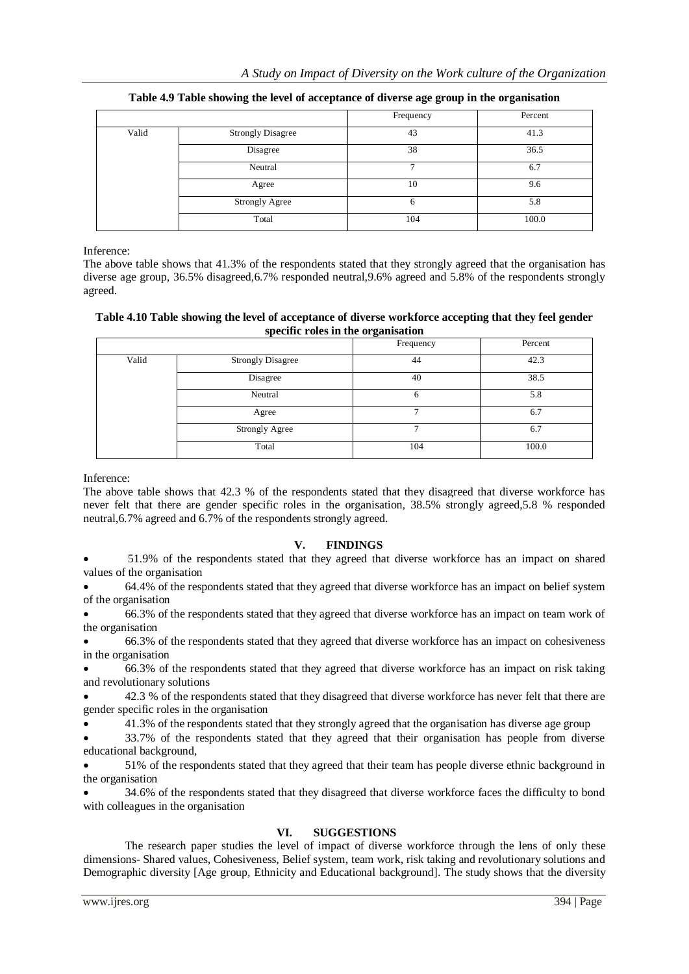|       |                          | Frequency | Percent |
|-------|--------------------------|-----------|---------|
| Valid | <b>Strongly Disagree</b> | 43        | 41.3    |
|       | Disagree                 | 38        | 36.5    |
|       | Neutral                  |           | 6.7     |
|       | Agree                    | 10        | 9.6     |
|       | <b>Strongly Agree</b>    | 6         | 5.8     |
|       | Total                    | 104       | 100.0   |

**Table 4.9 Table showing the level of acceptance of diverse age group in the organisation**

Inference:

The above table shows that 41.3% of the respondents stated that they strongly agreed that the organisation has diverse age group, 36.5% disagreed,6.7% responded neutral,9.6% agreed and 5.8% of the respondents strongly agreed.

**Table 4.10 Table showing the level of acceptance of diverse workforce accepting that they feel gender specific roles in the organisation**

| -----------<br>-- <del>-</del> ---------- |                   |           |         |  |
|-------------------------------------------|-------------------|-----------|---------|--|
|                                           |                   | Frequency | Percent |  |
| Valid                                     | Strongly Disagree | 44        | 42.3    |  |
|                                           | Disagree          | 40        | 38.5    |  |
|                                           | Neutral           | 6         | 5.8     |  |
|                                           | Agree             | −         | 6.7     |  |
|                                           | Strongly Agree    | 7         | 6.7     |  |
|                                           | Total             | 104       | 100.0   |  |

Inference:

The above table shows that 42.3 % of the respondents stated that they disagreed that diverse workforce has never felt that there are gender specific roles in the organisation, 38.5% strongly agreed,5.8 % responded neutral,6.7% agreed and 6.7% of the respondents strongly agreed.

# **V. FINDINGS**

 51.9% of the respondents stated that they agreed that diverse workforce has an impact on shared values of the organisation

 64.4% of the respondents stated that they agreed that diverse workforce has an impact on belief system of the organisation

 66.3% of the respondents stated that they agreed that diverse workforce has an impact on team work of the organisation

 66.3% of the respondents stated that they agreed that diverse workforce has an impact on cohesiveness in the organisation

 66.3% of the respondents stated that they agreed that diverse workforce has an impact on risk taking and revolutionary solutions

 42.3 % of the respondents stated that they disagreed that diverse workforce has never felt that there are gender specific roles in the organisation

41.3% of the respondents stated that they strongly agreed that the organisation has diverse age group

 33.7% of the respondents stated that they agreed that their organisation has people from diverse educational background,

 51% of the respondents stated that they agreed that their team has people diverse ethnic background in the organisation

 34.6% of the respondents stated that they disagreed that diverse workforce faces the difficulty to bond with colleagues in the organisation

# **VI. SUGGESTIONS**

The research paper studies the level of impact of diverse workforce through the lens of only these dimensions- Shared values, Cohesiveness, Belief system, team work, risk taking and revolutionary solutions and Demographic diversity [Age group, Ethnicity and Educational background]. The study shows that the diversity